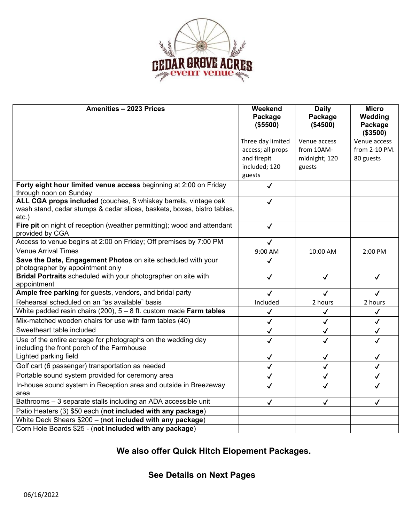

| Amenities - 2023 Prices                                                                                                                                | Weekend<br>Package<br>(\$5500) | <b>Daily</b><br>Package<br>(\$4500) | <b>Micro</b><br>Wedding<br>Package<br>(\$3500) |
|--------------------------------------------------------------------------------------------------------------------------------------------------------|--------------------------------|-------------------------------------|------------------------------------------------|
|                                                                                                                                                        | Three day limited              | Venue access                        | Venue access                                   |
|                                                                                                                                                        | access; all props              | from 10AM-                          | from 2-10 PM.                                  |
|                                                                                                                                                        | and firepit                    | midnight; 120                       | 80 guests                                      |
|                                                                                                                                                        | included; 120                  | guests                              |                                                |
|                                                                                                                                                        | guests                         |                                     |                                                |
| Forty eight hour limited venue access beginning at 2:00 on Friday<br>through noon on Sunday                                                            | $\checkmark$                   |                                     |                                                |
| ALL CGA props included (couches, 8 whiskey barrels, vintage oak<br>wash stand, cedar stumps & cedar slices, baskets, boxes, bistro tables,<br>$etc.$ ) | $\checkmark$                   |                                     |                                                |
| Fire pit on night of reception (weather permitting); wood and attendant<br>provided by CGA                                                             | $\checkmark$                   |                                     |                                                |
| Access to venue begins at 2:00 on Friday; Off premises by 7:00 PM                                                                                      | $\checkmark$                   |                                     |                                                |
| <b>Venue Arrival Times</b>                                                                                                                             | 9:00 AM                        | 10:00 AM                            | 2:00 PM                                        |
| Save the Date, Engagement Photos on site scheduled with your<br>photographer by appointment only                                                       | ✓                              |                                     |                                                |
| Bridal Portraits scheduled with your photographer on site with<br>appointment                                                                          | $\checkmark$                   | $\checkmark$                        | $\checkmark$                                   |
| Ample free parking for guests, vendors, and bridal party                                                                                               | $\checkmark$                   | $\checkmark$                        | $\checkmark$                                   |
| Rehearsal scheduled on an "as available" basis                                                                                                         | Included                       | 2 hours                             | 2 hours                                        |
| White padded resin chairs (200), $5 - 8$ ft. custom made Farm tables                                                                                   | $\checkmark$                   | $\checkmark$                        | $\checkmark$                                   |
| Mix-matched wooden chairs for use with farm tables (40)                                                                                                | $\checkmark$                   | $\checkmark$                        | $\checkmark$                                   |
| Sweetheart table included                                                                                                                              | $\checkmark$                   | $\checkmark$                        | $\checkmark$                                   |
| Use of the entire acreage for photographs on the wedding day<br>including the front porch of the Farmhouse                                             | $\checkmark$                   | $\checkmark$                        | $\checkmark$                                   |
| Lighted parking field                                                                                                                                  | $\checkmark$                   | $\checkmark$                        | $\checkmark$                                   |
| Golf cart (6 passenger) transportation as needed                                                                                                       | $\checkmark$                   | $\checkmark$                        | $\checkmark$                                   |
| Portable sound system provided for ceremony area                                                                                                       | √                              | $\checkmark$                        | $\checkmark$                                   |
| In-house sound system in Reception area and outside in Breezeway<br>area                                                                               | $\checkmark$                   | $\checkmark$                        | $\checkmark$                                   |
| Bathrooms - 3 separate stalls including an ADA accessible unit                                                                                         | $\checkmark$                   | $\checkmark$                        | $\checkmark$                                   |
| Patio Heaters (3) \$50 each (not included with any package)                                                                                            |                                |                                     |                                                |
| White Deck Shears \$200 - (not included with any package)                                                                                              |                                |                                     |                                                |
| Corn Hole Boards \$25 - (not included with any package)                                                                                                |                                |                                     |                                                |

## **We also offer Quick Hitch Elopement Packages.**

## **See Details on Next Pages**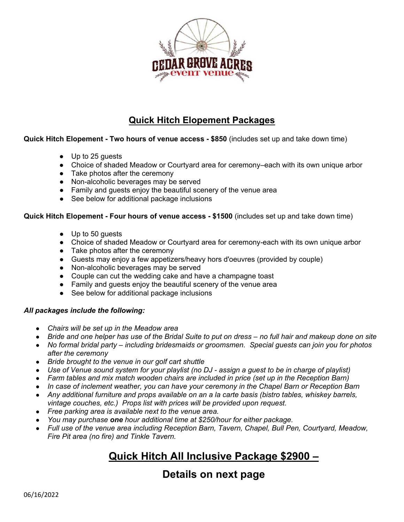

## **Quick Hitch Elopement Packages**

#### **Quick Hitch Elopement - Two hours of venue access - \$850** (includes set up and take down time)

- Up to 25 guests
- Choice of shaded Meadow or Courtyard area for ceremony–each with its own unique arbor
- Take photos after the ceremony
- Non-alcoholic beverages may be served
- Family and guests enjoy the beautiful scenery of the venue area
- See below for additional package inclusions

#### **Quick Hitch Elopement - Four hours of venue access - \$1500** (includes set up and take down time)

- Up to 50 guests
- Choice of shaded Meadow or Courtyard area for ceremony-each with its own unique arbor
- Take photos after the ceremony
- Guests may enjoy a few appetizers/heavy hors d'oeuvres (provided by couple)
- Non-alcoholic beverages may be served
- Couple can cut the wedding cake and have a champagne toast
- Family and guests enjoy the beautiful scenery of the venue area
- See below for additional package inclusions

#### *All packages include the following:*

- *Chairs will be set up in the Meadow area*
- *Bride and one helper has use of the Bridal Suite to put on dress no full hair and makeup done on site*
- *No formal bridal party including bridesmaids or groomsmen. Special guests can join you for photos after the ceremony*
- *Bride brought to the venue in our golf cart shuttle*
- *Use of Venue sound system for your playlist (no DJ assign a guest to be in charge of playlist)*
- *Farm tables and mix match wooden chairs are included in price (set up in the Reception Barn)*
- *In case of inclement weather, you can have your ceremony in the Chapel Barn or Reception Barn*
- *Any additional furniture and props available on an a la carte basis (bistro tables, whiskey barrels, vintage couches, etc.) Props list with prices will be provided upon request.*
- *Free parking area is available next to the venue area.*
- *You may purchase one hour additional time at \$250/hour for either package.*
- *Full use of the venue area including Reception Barn, Tavern, Chapel, Bull Pen, Courtyard, Meadow, Fire Pit area (no fire) and Tinkle Tavern.*

# **Quick Hitch All Inclusive Package \$2900 –**

## **Details on next page**